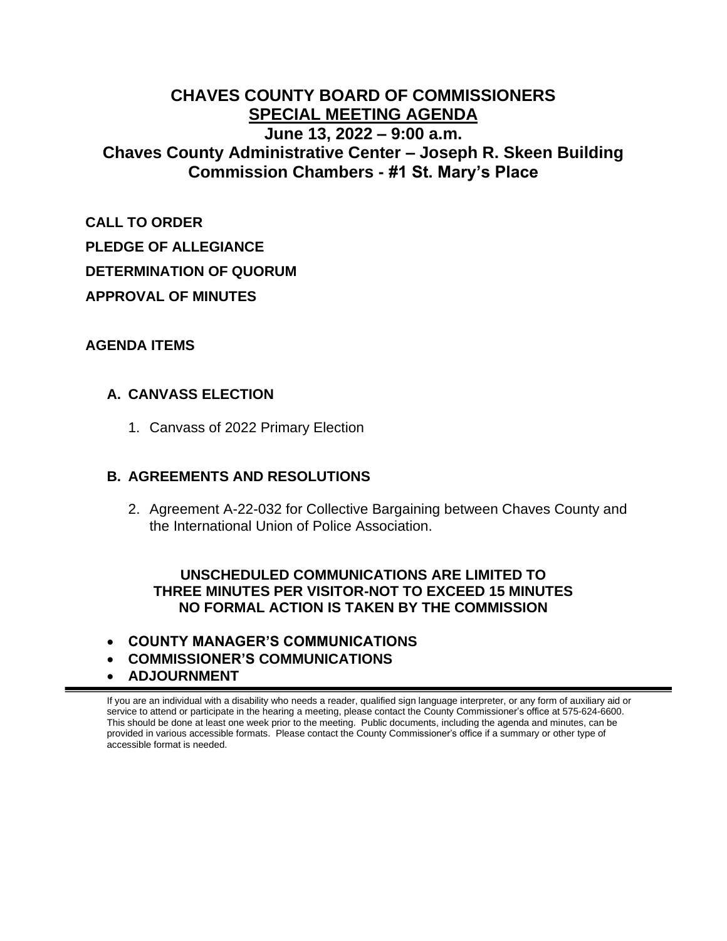### **CHAVES COUNTY BOARD OF COMMISSIONERS SPECIAL MEETING AGENDA June 13, 2022 – 9:00 a.m. Chaves County Administrative Center – Joseph R. Skeen Building Commission Chambers - #1 St. Mary's Place**

**CALL TO ORDER PLEDGE OF ALLEGIANCE DETERMINATION OF QUORUM APPROVAL OF MINUTES**

#### **AGENDA ITEMS**

#### **A. CANVASS ELECTION**

1. Canvass of 2022 Primary Election

#### **B. AGREEMENTS AND RESOLUTIONS**

2. Agreement A-22-032 for Collective Bargaining between Chaves County and the International Union of Police Association.

#### **UNSCHEDULED COMMUNICATIONS ARE LIMITED TO THREE MINUTES PER VISITOR-NOT TO EXCEED 15 MINUTES NO FORMAL ACTION IS TAKEN BY THE COMMISSION**

- **COUNTY MANAGER'S COMMUNICATIONS**
- **COMMISSIONER'S COMMUNICATIONS**
- **ADJOURNMENT**

If you are an individual with a disability who needs a reader, qualified sign language interpreter, or any form of auxiliary aid or service to attend or participate in the hearing a meeting, please contact the County Commissioner's office at 575-624-6600. This should be done at least one week prior to the meeting. Public documents, including the agenda and minutes, can be provided in various accessible formats. Please contact the County Commissioner's office if a summary or other type of accessible format is needed.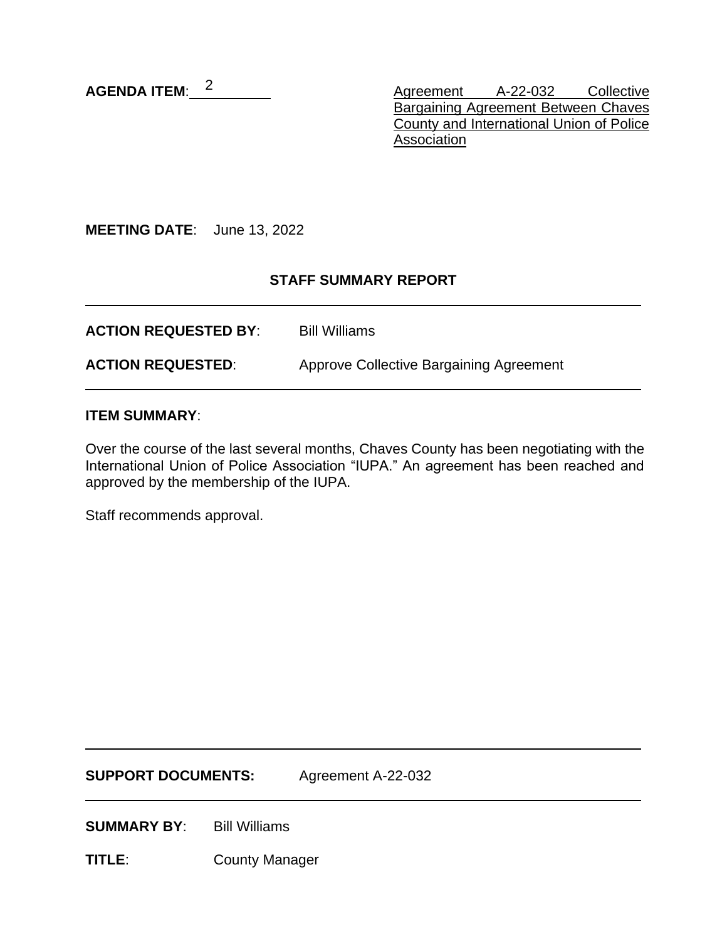AGENDA ITEM:  $2$ 

Agreement A-22-032 Collective **Bargaining Agreement Between Chaves** County and International Union of Police Association

**MEETING DATE**: June 13, 2022

#### **STAFF SUMMARY REPORT**

**ACTION REQUESTED BY**: Bill Williams **ACTION REQUESTED:** Approve Collective Bargaining Agreement

#### **ITEM SUMMARY**:

Over the course of the last several months, Chaves County has been negotiating with the International Union of Police Association "IUPA." An agreement has been reached and approved by the membership of the IUPA.

Staff recommends approval.

**SUPPORT DOCUMENTS:** Agreement A-22-032

**SUMMARY BY:** Bill Williams

**TITLE**: County Manager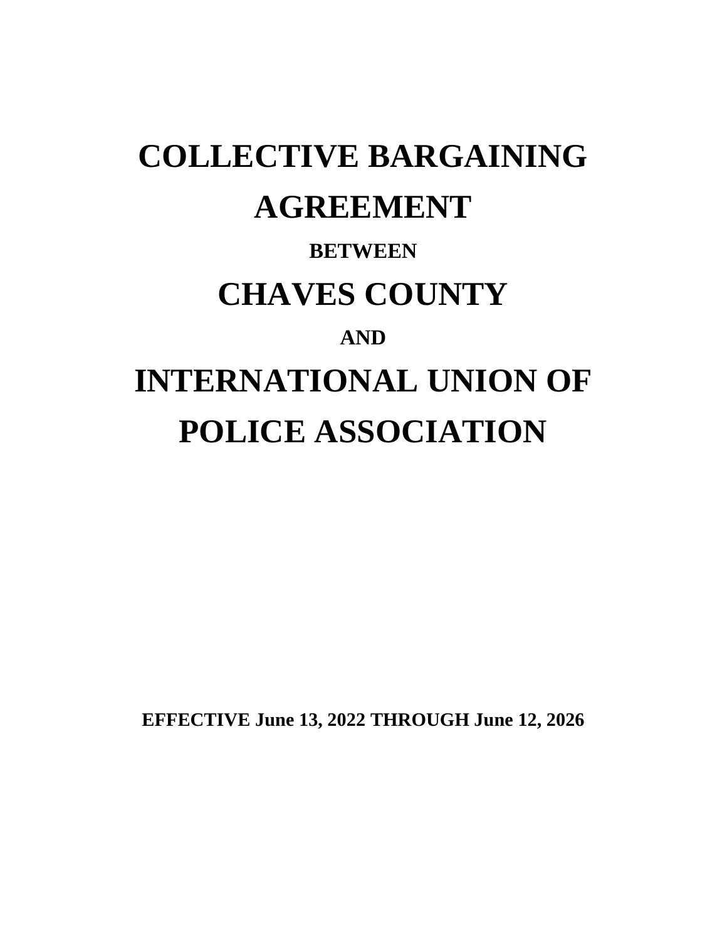# **COLLECTIVE BARGAINING AGREEMENT**

## **BETWEEN CHAVES COUNTY AND INTERNATIONAL UNION OF POLICE ASSOCIATION**

**EFFECTIVE June 13, 2022 THROUGH June 12, 2026**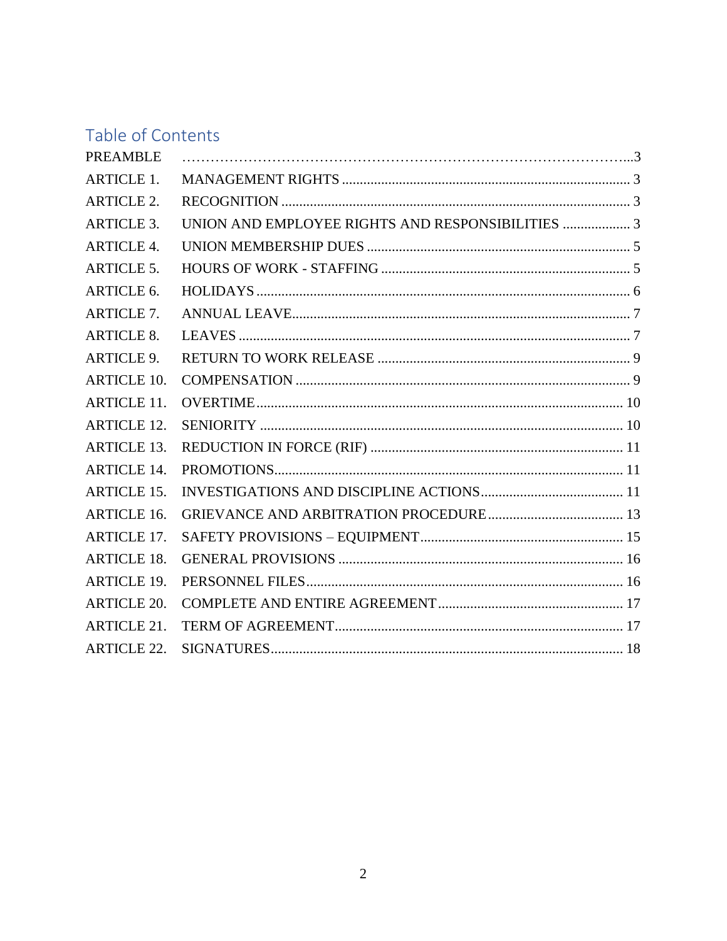### Table of Contents

| <b>PREAMBLE</b>    |                                                   |  |
|--------------------|---------------------------------------------------|--|
| <b>ARTICLE 1.</b>  |                                                   |  |
| <b>ARTICLE 2.</b>  |                                                   |  |
| <b>ARTICLE 3.</b>  | UNION AND EMPLOYEE RIGHTS AND RESPONSIBILITIES  3 |  |
| <b>ARTICLE 4.</b>  |                                                   |  |
| <b>ARTICLE 5.</b>  |                                                   |  |
| ARTICLE 6.         |                                                   |  |
| <b>ARTICLE 7.</b>  |                                                   |  |
| <b>ARTICLE 8.</b>  |                                                   |  |
| <b>ARTICLE 9.</b>  |                                                   |  |
| <b>ARTICLE 10.</b> |                                                   |  |
| <b>ARTICLE 11.</b> |                                                   |  |
| <b>ARTICLE 12.</b> |                                                   |  |
| <b>ARTICLE 13.</b> |                                                   |  |
| <b>ARTICLE 14.</b> |                                                   |  |
| <b>ARTICLE 15.</b> |                                                   |  |
| <b>ARTICLE 16.</b> |                                                   |  |
| <b>ARTICLE 17.</b> |                                                   |  |
| <b>ARTICLE 18.</b> |                                                   |  |
| <b>ARTICLE 19.</b> |                                                   |  |
| <b>ARTICLE 20.</b> |                                                   |  |
| <b>ARTICLE 21.</b> |                                                   |  |
| <b>ARTICLE 22.</b> |                                                   |  |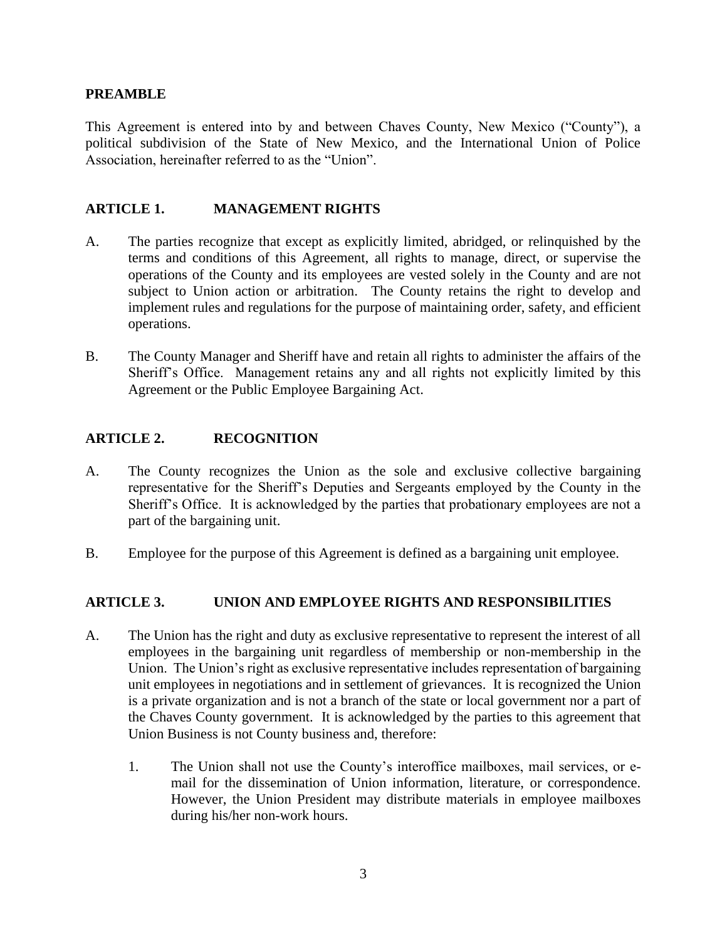#### <span id="page-4-0"></span>**PREAMBLE**

This Agreement is entered into by and between Chaves County, New Mexico ("County"), a political subdivision of the State of New Mexico, and the International Union of Police Association, hereinafter referred to as the "Union".

#### <span id="page-4-1"></span>**ARTICLE 1. MANAGEMENT RIGHTS**

- A. The parties recognize that except as explicitly limited, abridged, or relinquished by the terms and conditions of this Agreement, all rights to manage, direct, or supervise the operations of the County and its employees are vested solely in the County and are not subject to Union action or arbitration. The County retains the right to develop and implement rules and regulations for the purpose of maintaining order, safety, and efficient operations.
- B. The County Manager and Sheriff have and retain all rights to administer the affairs of the Sheriff's Office. Management retains any and all rights not explicitly limited by this Agreement or the Public Employee Bargaining Act.

#### <span id="page-4-2"></span>**ARTICLE 2. RECOGNITION**

- A. The County recognizes the Union as the sole and exclusive collective bargaining representative for the Sheriff's Deputies and Sergeants employed by the County in the Sheriff's Office. It is acknowledged by the parties that probationary employees are not a part of the bargaining unit.
- B. Employee for the purpose of this Agreement is defined as a bargaining unit employee.

#### <span id="page-4-3"></span>**ARTICLE 3. UNION AND EMPLOYEE RIGHTS AND RESPONSIBILITIES**

- A. The Union has the right and duty as exclusive representative to represent the interest of all employees in the bargaining unit regardless of membership or non-membership in the Union. The Union's right as exclusive representative includes representation of bargaining unit employees in negotiations and in settlement of grievances. It is recognized the Union is a private organization and is not a branch of the state or local government nor a part of the Chaves County government. It is acknowledged by the parties to this agreement that Union Business is not County business and, therefore:
	- 1. The Union shall not use the County's interoffice mailboxes, mail services, or email for the dissemination of Union information, literature, or correspondence. However, the Union President may distribute materials in employee mailboxes during his/her non-work hours.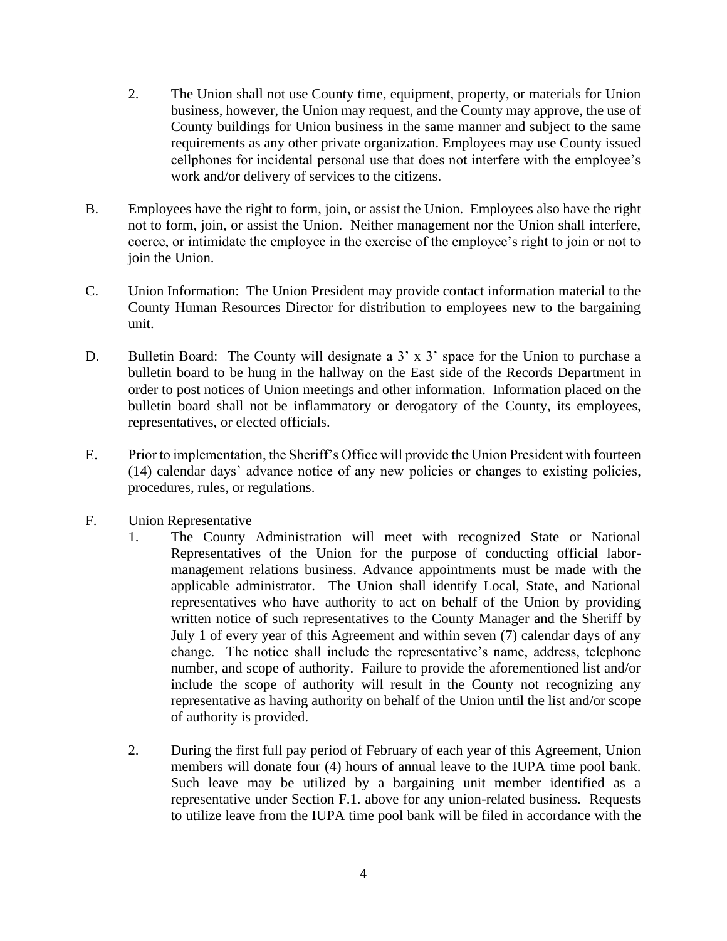- 2. The Union shall not use County time, equipment, property, or materials for Union business, however, the Union may request, and the County may approve, the use of County buildings for Union business in the same manner and subject to the same requirements as any other private organization. Employees may use County issued cellphones for incidental personal use that does not interfere with the employee's work and/or delivery of services to the citizens.
- B. Employees have the right to form, join, or assist the Union. Employees also have the right not to form, join, or assist the Union. Neither management nor the Union shall interfere, coerce, or intimidate the employee in the exercise of the employee's right to join or not to join the Union.
- C. Union Information: The Union President may provide contact information material to the County Human Resources Director for distribution to employees new to the bargaining unit.
- D. Bulletin Board: The County will designate a 3' x 3' space for the Union to purchase a bulletin board to be hung in the hallway on the East side of the Records Department in order to post notices of Union meetings and other information. Information placed on the bulletin board shall not be inflammatory or derogatory of the County, its employees, representatives, or elected officials.
- E. Prior to implementation, the Sheriff's Office will provide the Union President with fourteen (14) calendar days' advance notice of any new policies or changes to existing policies, procedures, rules, or regulations.
- F. Union Representative
	- 1. The County Administration will meet with recognized State or National Representatives of the Union for the purpose of conducting official labormanagement relations business. Advance appointments must be made with the applicable administrator. The Union shall identify Local, State, and National representatives who have authority to act on behalf of the Union by providing written notice of such representatives to the County Manager and the Sheriff by July 1 of every year of this Agreement and within seven (7) calendar days of any change. The notice shall include the representative's name, address, telephone number, and scope of authority. Failure to provide the aforementioned list and/or include the scope of authority will result in the County not recognizing any representative as having authority on behalf of the Union until the list and/or scope of authority is provided.
	- 2. During the first full pay period of February of each year of this Agreement, Union members will donate four (4) hours of annual leave to the IUPA time pool bank. Such leave may be utilized by a bargaining unit member identified as a representative under Section F.1. above for any union-related business. Requests to utilize leave from the IUPA time pool bank will be filed in accordance with the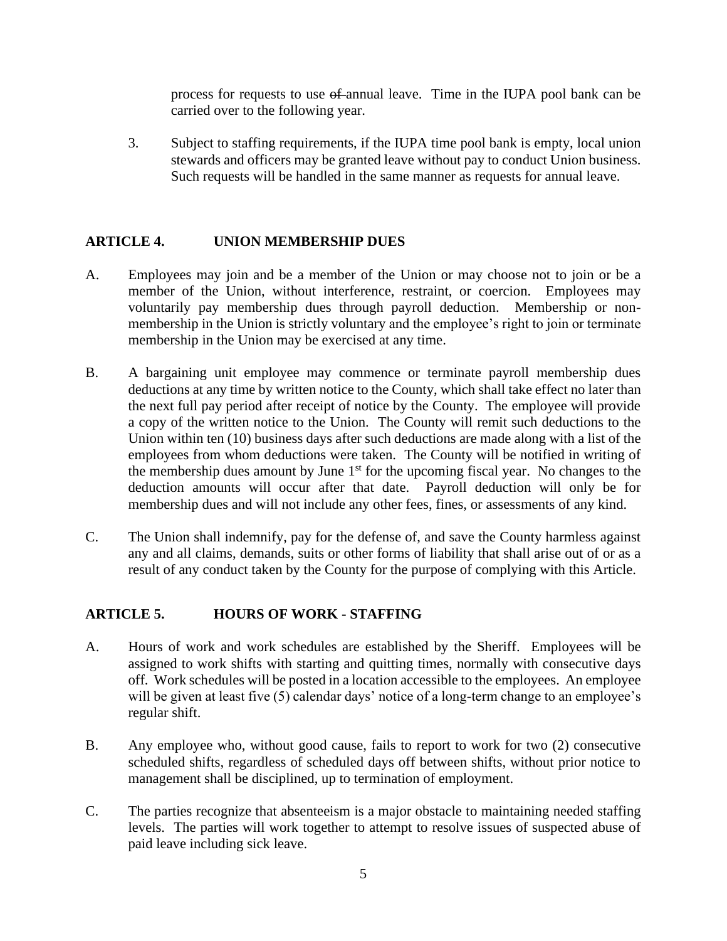process for requests to use of annual leave. Time in the IUPA pool bank can be carried over to the following year.

3. Subject to staffing requirements, if the IUPA time pool bank is empty, local union stewards and officers may be granted leave without pay to conduct Union business. Such requests will be handled in the same manner as requests for annual leave.

#### <span id="page-6-0"></span>**ARTICLE 4. UNION MEMBERSHIP DUES**

- A. Employees may join and be a member of the Union or may choose not to join or be a member of the Union, without interference, restraint, or coercion. Employees may voluntarily pay membership dues through payroll deduction. Membership or nonmembership in the Union is strictly voluntary and the employee's right to join or terminate membership in the Union may be exercised at any time.
- B. A bargaining unit employee may commence or terminate payroll membership dues deductions at any time by written notice to the County, which shall take effect no later than the next full pay period after receipt of notice by the County. The employee will provide a copy of the written notice to the Union. The County will remit such deductions to the Union within ten (10) business days after such deductions are made along with a list of the employees from whom deductions were taken.The County will be notified in writing of the membership dues amount by June  $1<sup>st</sup>$  for the upcoming fiscal year. No changes to the deduction amounts will occur after that date. Payroll deduction will only be for membership dues and will not include any other fees, fines, or assessments of any kind.
- C. The Union shall indemnify, pay for the defense of, and save the County harmless against any and all claims, demands, suits or other forms of liability that shall arise out of or as a result of any conduct taken by the County for the purpose of complying with this Article.

#### <span id="page-6-1"></span>**ARTICLE 5. HOURS OF WORK - STAFFING**

- A. Hours of work and work schedules are established by the Sheriff. Employees will be assigned to work shifts with starting and quitting times, normally with consecutive days off. Work schedules will be posted in a location accessible to the employees. An employee will be given at least five (5) calendar days' notice of a long-term change to an employee's regular shift.
- B. Any employee who, without good cause, fails to report to work for two (2) consecutive scheduled shifts, regardless of scheduled days off between shifts, without prior notice to management shall be disciplined, up to termination of employment.
- C. The parties recognize that absenteeism is a major obstacle to maintaining needed staffing levels. The parties will work together to attempt to resolve issues of suspected abuse of paid leave including sick leave.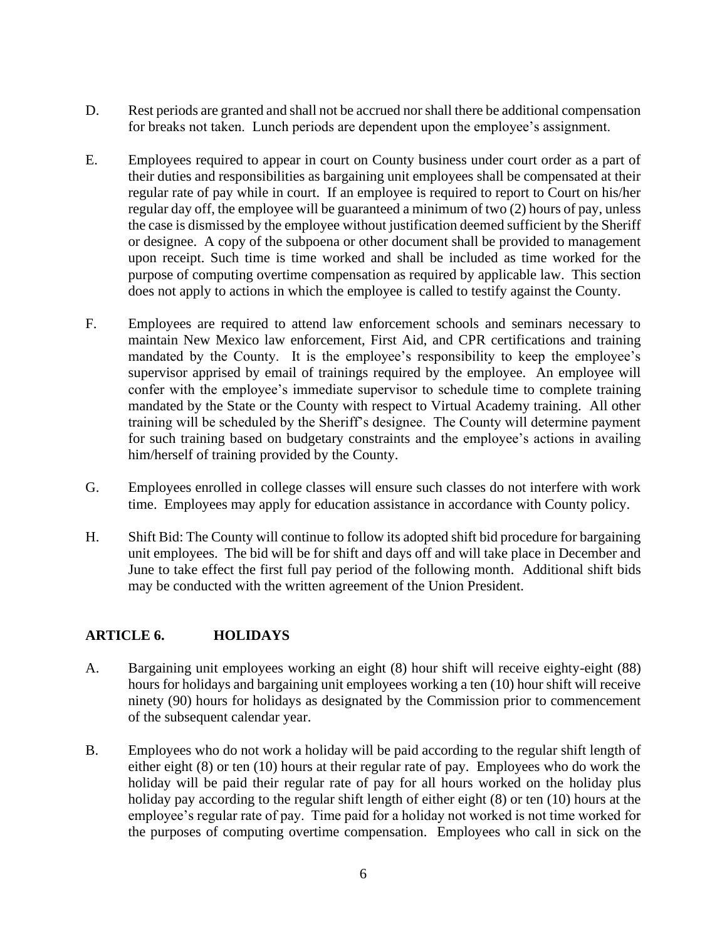- D. Rest periods are granted and shall not be accrued nor shall there be additional compensation for breaks not taken. Lunch periods are dependent upon the employee's assignment.
- E. Employees required to appear in court on County business under court order as a part of their duties and responsibilities as bargaining unit employees shall be compensated at their regular rate of pay while in court. If an employee is required to report to Court on his/her regular day off, the employee will be guaranteed a minimum of two (2) hours of pay, unless the case is dismissed by the employee without justification deemed sufficient by the Sheriff or designee. A copy of the subpoena or other document shall be provided to management upon receipt. Such time is time worked and shall be included as time worked for the purpose of computing overtime compensation as required by applicable law. This section does not apply to actions in which the employee is called to testify against the County.
- F. Employees are required to attend law enforcement schools and seminars necessary to maintain New Mexico law enforcement, First Aid, and CPR certifications and training mandated by the County. It is the employee's responsibility to keep the employee's supervisor apprised by email of trainings required by the employee. An employee will confer with the employee's immediate supervisor to schedule time to complete training mandated by the State or the County with respect to Virtual Academy training. All other training will be scheduled by the Sheriff's designee. The County will determine payment for such training based on budgetary constraints and the employee's actions in availing him/herself of training provided by the County.
- G. Employees enrolled in college classes will ensure such classes do not interfere with work time. Employees may apply for education assistance in accordance with County policy.
- H. Shift Bid: The County will continue to follow its adopted shift bid procedure for bargaining unit employees. The bid will be for shift and days off and will take place in December and June to take effect the first full pay period of the following month. Additional shift bids may be conducted with the written agreement of the Union President.

#### <span id="page-7-0"></span>**ARTICLE 6. HOLIDAYS**

- A. Bargaining unit employees working an eight (8) hour shift will receive eighty-eight (88) hours for holidays and bargaining unit employees working a ten (10) hour shift will receive ninety (90) hours for holidays as designated by the Commission prior to commencement of the subsequent calendar year.
- B. Employees who do not work a holiday will be paid according to the regular shift length of either eight (8) or ten (10) hours at their regular rate of pay. Employees who do work the holiday will be paid their regular rate of pay for all hours worked on the holiday plus holiday pay according to the regular shift length of either eight (8) or ten (10) hours at the employee's regular rate of pay. Time paid for a holiday not worked is not time worked for the purposes of computing overtime compensation. Employees who call in sick on the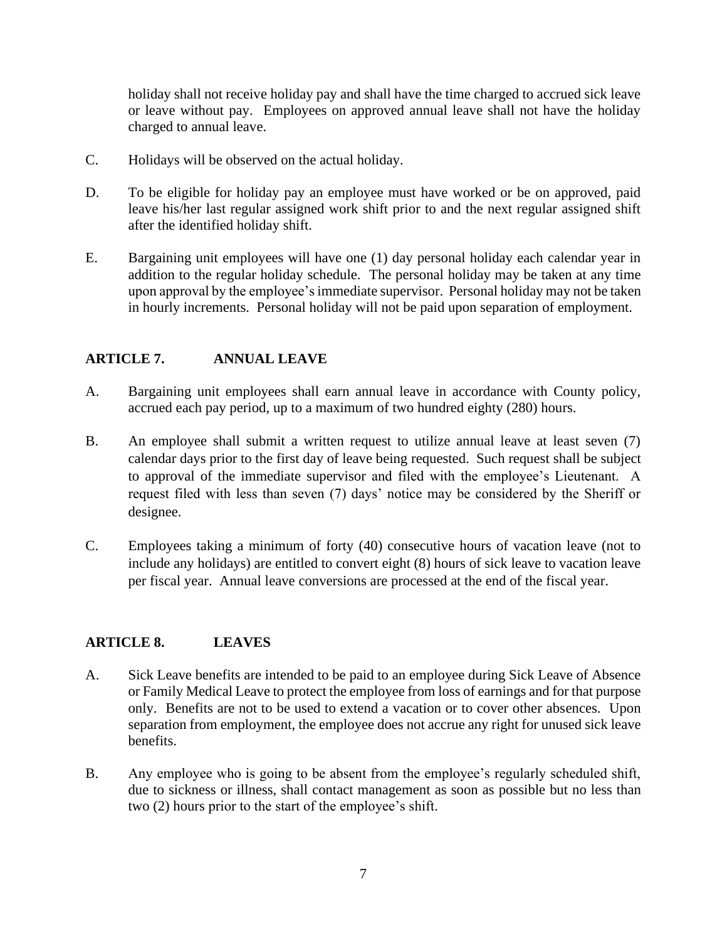holiday shall not receive holiday pay and shall have the time charged to accrued sick leave or leave without pay. Employees on approved annual leave shall not have the holiday charged to annual leave.

- C. Holidays will be observed on the actual holiday.
- D. To be eligible for holiday pay an employee must have worked or be on approved, paid leave his/her last regular assigned work shift prior to and the next regular assigned shift after the identified holiday shift.
- E. Bargaining unit employees will have one (1) day personal holiday each calendar year in addition to the regular holiday schedule. The personal holiday may be taken at any time upon approval by the employee's immediate supervisor. Personal holiday may not be taken in hourly increments. Personal holiday will not be paid upon separation of employment.

#### <span id="page-8-0"></span>**ARTICLE 7. ANNUAL LEAVE**

- A. Bargaining unit employees shall earn annual leave in accordance with County policy, accrued each pay period, up to a maximum of two hundred eighty (280) hours.
- B. An employee shall submit a written request to utilize annual leave at least seven (7) calendar days prior to the first day of leave being requested. Such request shall be subject to approval of the immediate supervisor and filed with the employee's Lieutenant. A request filed with less than seven (7) days' notice may be considered by the Sheriff or designee.
- C. Employees taking a minimum of forty (40) consecutive hours of vacation leave (not to include any holidays) are entitled to convert eight (8) hours of sick leave to vacation leave per fiscal year. Annual leave conversions are processed at the end of the fiscal year.

#### <span id="page-8-1"></span>**ARTICLE 8. LEAVES**

- A. Sick Leave benefits are intended to be paid to an employee during Sick Leave of Absence or Family Medical Leave to protect the employee from loss of earnings and for that purpose only. Benefits are not to be used to extend a vacation or to cover other absences. Upon separation from employment, the employee does not accrue any right for unused sick leave benefits.
- B. Any employee who is going to be absent from the employee's regularly scheduled shift, due to sickness or illness, shall contact management as soon as possible but no less than two (2) hours prior to the start of the employee's shift.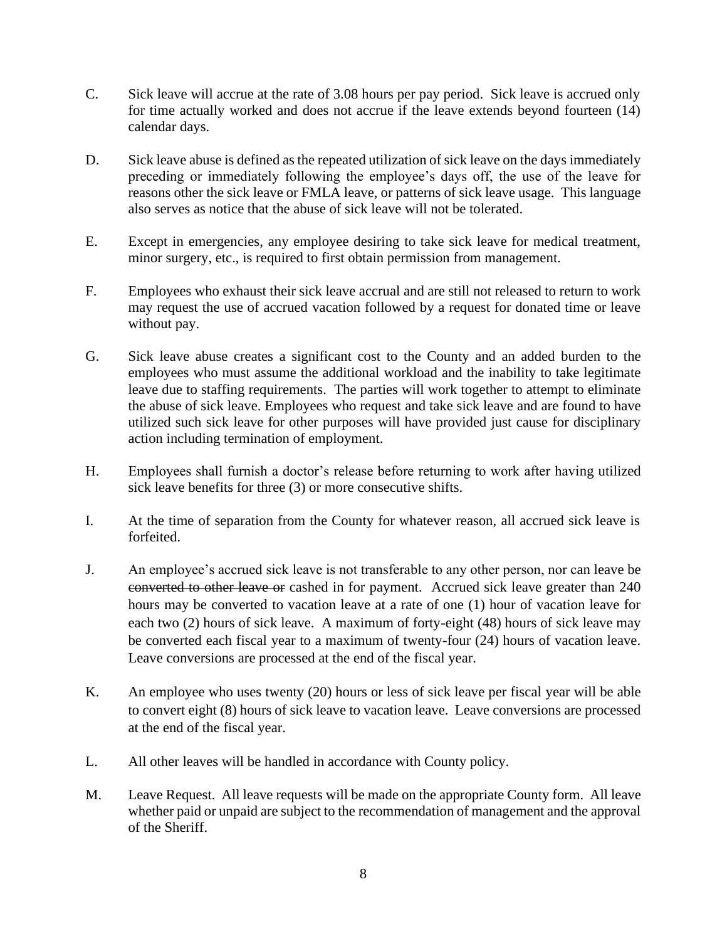- C. Sick leave will accrue at the rate of 3.08 hours per pay period. Sick leave is accrued only for time actually worked and does not accrue if the leave extends beyond fourteen (14) calendar days.
- D. Sick leave abuse is defined as the repeated utilization of sick leave on the days immediately preceding or immediately following the employee's days off, the use of the leave for reasons other the sick leave or FMLA leave, or patterns of sick leave usage. This language also serves as notice that the abuse of sick leave will not be tolerated.
- E. Except in emergencies, any employee desiring to take sick leave for medical treatment, minor surgery, etc., is required to first obtain permission from management.
- F. Employees who exhaust their sick leave accrual and are still not released to return to work may request the use of accrued vacation followed by a request for donated time or leave without pay.
- G. Sick leave abuse creates a significant cost to the County and an added burden to the employees who must assume the additional workload and the inability to take legitimate leave due to staffing requirements. The parties will work together to attempt to eliminate the abuse of sick leave. Employees who request and take sick leave and are found to have utilized such sick leave for other purposes will have provided just cause for disciplinary action including termination of employment.
- H. Employees shall furnish a doctor's release before returning to work after having utilized sick leave benefits for three (3) or more consecutive shifts.
- I. At the time of separation from the County for whatever reason, all accrued sick leave is forfeited.
- J. An employee's accrued sick leave is not transferable to any other person, nor can leave be converted to other leave or cashed in for payment. Accrued sick leave greater than 240 hours may be converted to vacation leave at a rate of one (1) hour of vacation leave for each two (2) hours of sick leave. A maximum of forty-eight (48) hours of sick leave may be converted each fiscal year to a maximum of twenty-four (24) hours of vacation leave. Leave conversions are processed at the end of the fiscal year.
- K. An employee who uses twenty (20) hours or less of sick leave per fiscal year will be able to convert eight (8) hours of sick leave to vacation leave. Leave conversions are processed at the end of the fiscal year.
- L. All other leaves will be handled in accordance with County policy.
- M. Leave Request. All leave requests will be made on the appropriate County form. All leave whether paid or unpaid are subject to the recommendation of management and the approval of the Sheriff.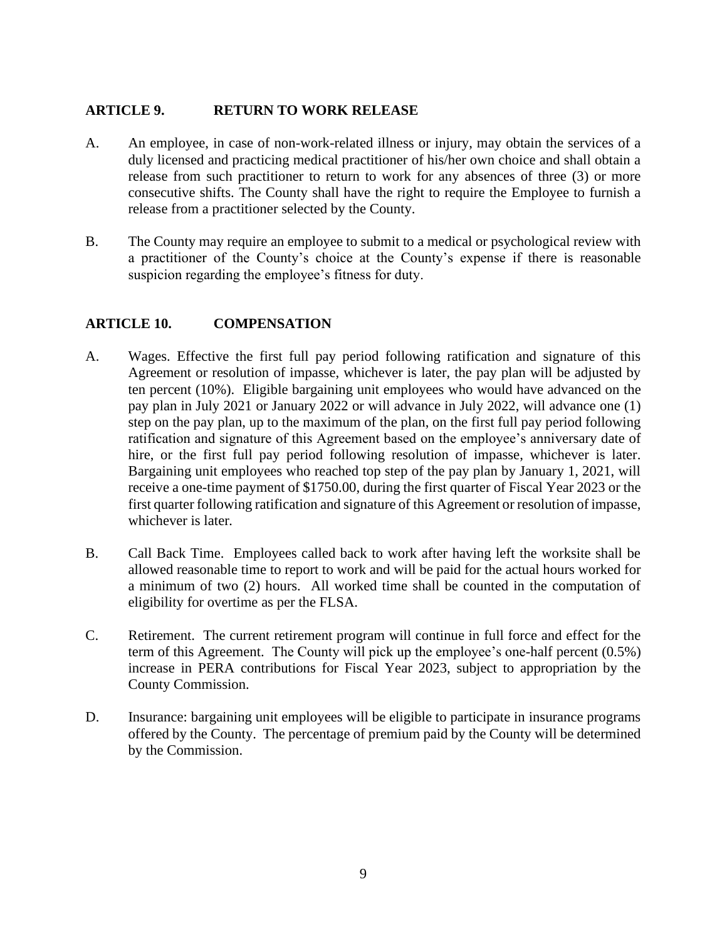#### <span id="page-10-0"></span>**ARTICLE 9. RETURN TO WORK RELEASE**

- A. An employee, in case of non-work-related illness or injury, may obtain the services of a duly licensed and practicing medical practitioner of his/her own choice and shall obtain a release from such practitioner to return to work for any absences of three (3) or more consecutive shifts. The County shall have the right to require the Employee to furnish a release from a practitioner selected by the County.
- B. The County may require an employee to submit to a medical or psychological review with a practitioner of the County's choice at the County's expense if there is reasonable suspicion regarding the employee's fitness for duty.

#### <span id="page-10-1"></span>**ARTICLE 10. COMPENSATION**

- A. Wages. Effective the first full pay period following ratification and signature of this Agreement or resolution of impasse, whichever is later, the pay plan will be adjusted by ten percent (10%). Eligible bargaining unit employees who would have advanced on the pay plan in July 2021 or January 2022 or will advance in July 2022, will advance one (1) step on the pay plan, up to the maximum of the plan, on the first full pay period following ratification and signature of this Agreement based on the employee's anniversary date of hire, or the first full pay period following resolution of impasse, whichever is later. Bargaining unit employees who reached top step of the pay plan by January 1, 2021, will receive a one-time payment of \$1750.00, during the first quarter of Fiscal Year 2023 or the first quarter following ratification and signature of this Agreement or resolution of impasse, whichever is later*.*
- B. Call Back Time. Employees called back to work after having left the worksite shall be allowed reasonable time to report to work and will be paid for the actual hours worked for a minimum of two (2) hours. All worked time shall be counted in the computation of eligibility for overtime as per the FLSA.
- C. Retirement. The current retirement program will continue in full force and effect for the term of this Agreement. The County will pick up the employee's one-half percent (0.5%) increase in PERA contributions for Fiscal Year 2023, subject to appropriation by the County Commission.
- D. Insurance: bargaining unit employees will be eligible to participate in insurance programs offered by the County. The percentage of premium paid by the County will be determined by the Commission.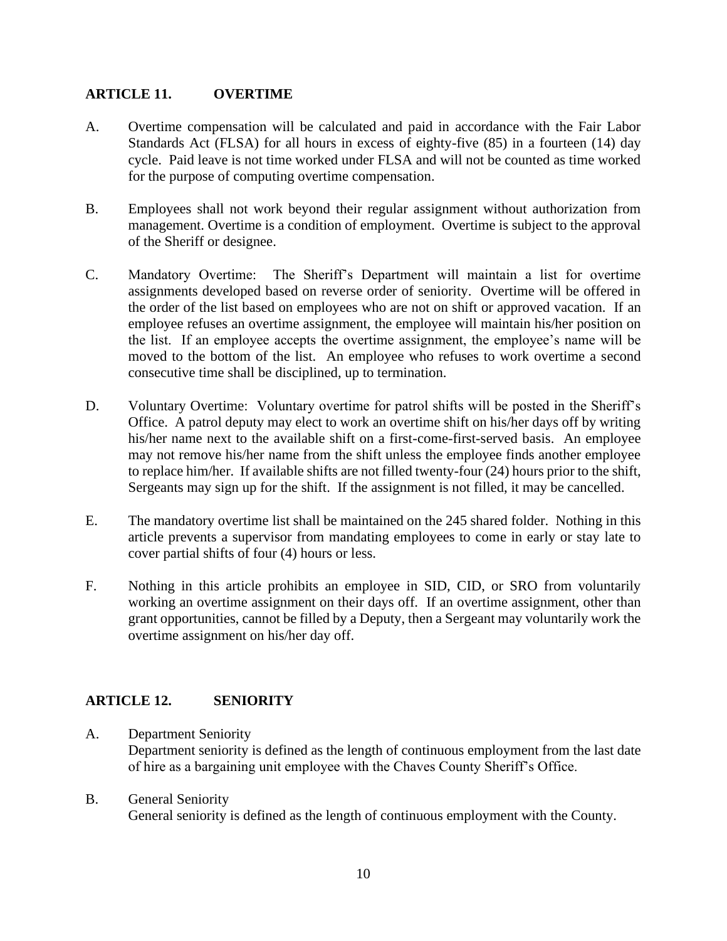#### <span id="page-11-0"></span>**ARTICLE 11. OVERTIME**

- A. Overtime compensation will be calculated and paid in accordance with the Fair Labor Standards Act (FLSA) for all hours in excess of eighty-five (85) in a fourteen (14) day cycle. Paid leave is not time worked under FLSA and will not be counted as time worked for the purpose of computing overtime compensation.
- B. Employees shall not work beyond their regular assignment without authorization from management. Overtime is a condition of employment. Overtime is subject to the approval of the Sheriff or designee.
- C. Mandatory Overtime: The Sheriff's Department will maintain a list for overtime assignments developed based on reverse order of seniority. Overtime will be offered in the order of the list based on employees who are not on shift or approved vacation. If an employee refuses an overtime assignment, the employee will maintain his/her position on the list. If an employee accepts the overtime assignment, the employee's name will be moved to the bottom of the list. An employee who refuses to work overtime a second consecutive time shall be disciplined, up to termination.
- D. Voluntary Overtime: Voluntary overtime for patrol shifts will be posted in the Sheriff's Office. A patrol deputy may elect to work an overtime shift on his/her days off by writing his/her name next to the available shift on a first-come-first-served basis. An employee may not remove his/her name from the shift unless the employee finds another employee to replace him/her. If available shifts are not filled twenty-four (24) hours prior to the shift, Sergeants may sign up for the shift. If the assignment is not filled, it may be cancelled.
- E. The mandatory overtime list shall be maintained on the 245 shared folder. Nothing in this article prevents a supervisor from mandating employees to come in early or stay late to cover partial shifts of four (4) hours or less.
- F. Nothing in this article prohibits an employee in SID, CID, or SRO from voluntarily working an overtime assignment on their days off. If an overtime assignment, other than grant opportunities, cannot be filled by a Deputy, then a Sergeant may voluntarily work the overtime assignment on his/her day off.

#### <span id="page-11-1"></span>**ARTICLE 12. SENIORITY**

- A. Department Seniority Department seniority is defined as the length of continuous employment from the last date of hire as a bargaining unit employee with the Chaves County Sheriff's Office.
- B. General Seniority General seniority is defined as the length of continuous employment with the County.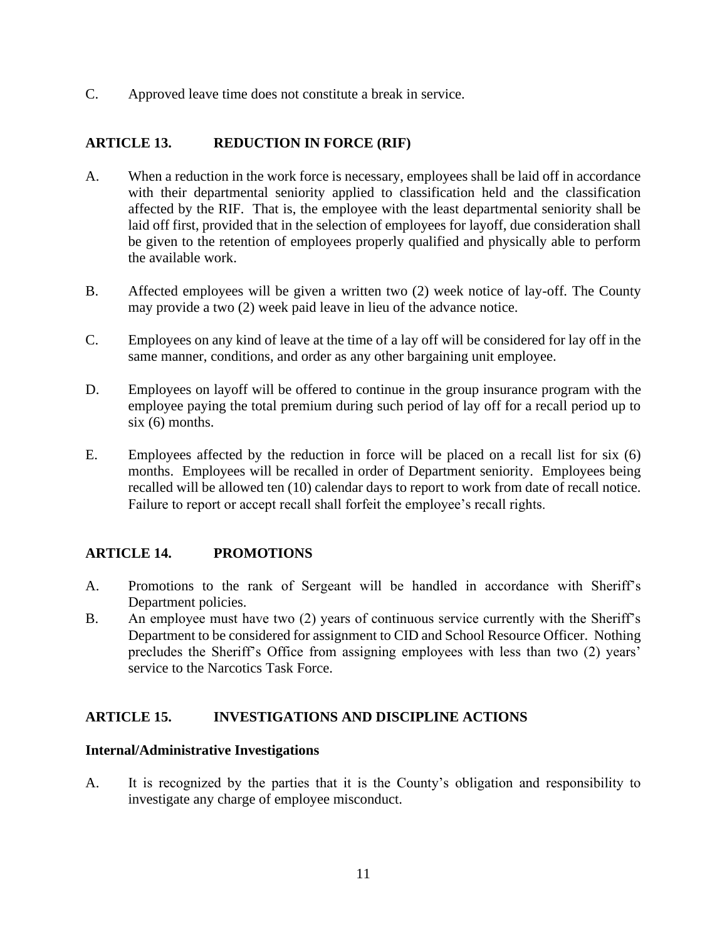C. Approved leave time does not constitute a break in service.

#### <span id="page-12-0"></span>**ARTICLE 13. REDUCTION IN FORCE (RIF)**

- A. When a reduction in the work force is necessary, employees shall be laid off in accordance with their departmental seniority applied to classification held and the classification affected by the RIF. That is, the employee with the least departmental seniority shall be laid off first, provided that in the selection of employees for layoff, due consideration shall be given to the retention of employees properly qualified and physically able to perform the available work.
- B. Affected employees will be given a written two (2) week notice of lay-off. The County may provide a two (2) week paid leave in lieu of the advance notice.
- C. Employees on any kind of leave at the time of a lay off will be considered for lay off in the same manner, conditions, and order as any other bargaining unit employee.
- D. Employees on layoff will be offered to continue in the group insurance program with the employee paying the total premium during such period of lay off for a recall period up to six (6) months.
- E. Employees affected by the reduction in force will be placed on a recall list for six (6) months. Employees will be recalled in order of Department seniority. Employees being recalled will be allowed ten (10) calendar days to report to work from date of recall notice. Failure to report or accept recall shall forfeit the employee's recall rights.

#### <span id="page-12-1"></span>**ARTICLE 14. PROMOTIONS**

- A. Promotions to the rank of Sergeant will be handled in accordance with Sheriff's Department policies.
- B. An employee must have two (2) years of continuous service currently with the Sheriff's Department to be considered for assignment to CID and School Resource Officer. Nothing precludes the Sheriff's Office from assigning employees with less than two (2) years' service to the Narcotics Task Force.

#### <span id="page-12-2"></span>**ARTICLE 15. INVESTIGATIONS AND DISCIPLINE ACTIONS**

#### **Internal/Administrative Investigations**

A. It is recognized by the parties that it is the County's obligation and responsibility to investigate any charge of employee misconduct.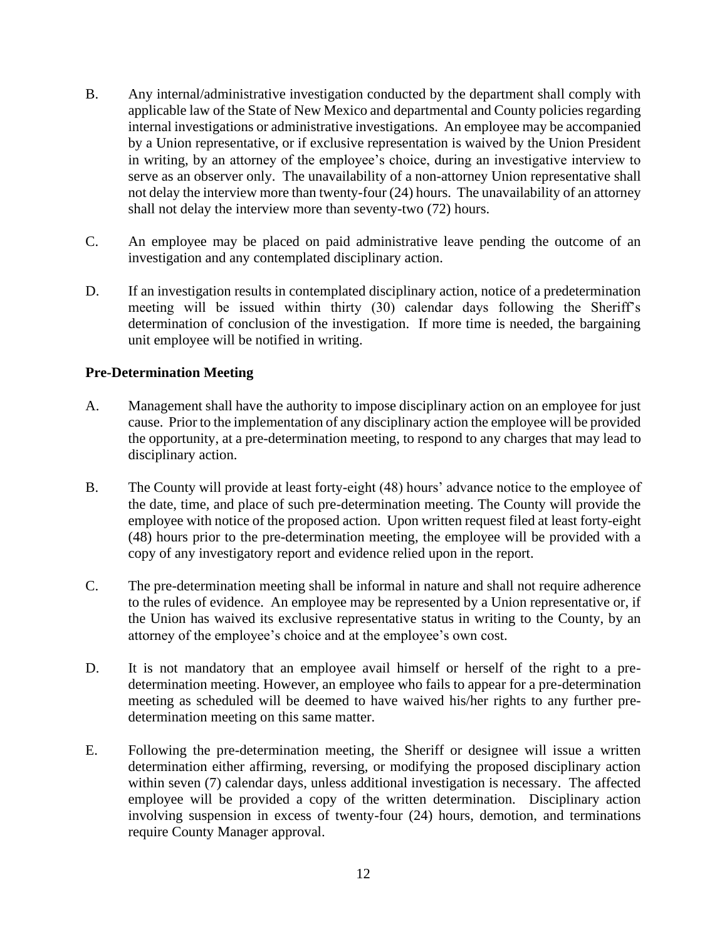- B. Any internal/administrative investigation conducted by the department shall comply with applicable law of the State of New Mexico and departmental and County policies regarding internal investigations or administrative investigations. An employee may be accompanied by a Union representative, or if exclusive representation is waived by the Union President in writing, by an attorney of the employee's choice, during an investigative interview to serve as an observer only. The unavailability of a non-attorney Union representative shall not delay the interview more than twenty-four (24) hours. The unavailability of an attorney shall not delay the interview more than seventy-two (72) hours.
- C. An employee may be placed on paid administrative leave pending the outcome of an investigation and any contemplated disciplinary action.
- D. If an investigation results in contemplated disciplinary action, notice of a predetermination meeting will be issued within thirty (30) calendar days following the Sheriff's determination of conclusion of the investigation. If more time is needed, the bargaining unit employee will be notified in writing.

#### **Pre-Determination Meeting**

- A. Management shall have the authority to impose disciplinary action on an employee for just cause. Prior to the implementation of any disciplinary action the employee will be provided the opportunity, at a pre-determination meeting, to respond to any charges that may lead to disciplinary action.
- B. The County will provide at least forty-eight (48) hours' advance notice to the employee of the date, time, and place of such pre-determination meeting. The County will provide the employee with notice of the proposed action. Upon written request filed at least forty-eight (48) hours prior to the pre-determination meeting, the employee will be provided with a copy of any investigatory report and evidence relied upon in the report.
- C. The pre-determination meeting shall be informal in nature and shall not require adherence to the rules of evidence. An employee may be represented by a Union representative or, if the Union has waived its exclusive representative status in writing to the County, by an attorney of the employee's choice and at the employee's own cost.
- D. It is not mandatory that an employee avail himself or herself of the right to a predetermination meeting. However, an employee who fails to appear for a pre-determination meeting as scheduled will be deemed to have waived his/her rights to any further predetermination meeting on this same matter.
- E. Following the pre-determination meeting, the Sheriff or designee will issue a written determination either affirming, reversing, or modifying the proposed disciplinary action within seven (7) calendar days, unless additional investigation is necessary. The affected employee will be provided a copy of the written determination. Disciplinary action involving suspension in excess of twenty-four (24) hours, demotion, and terminations require County Manager approval.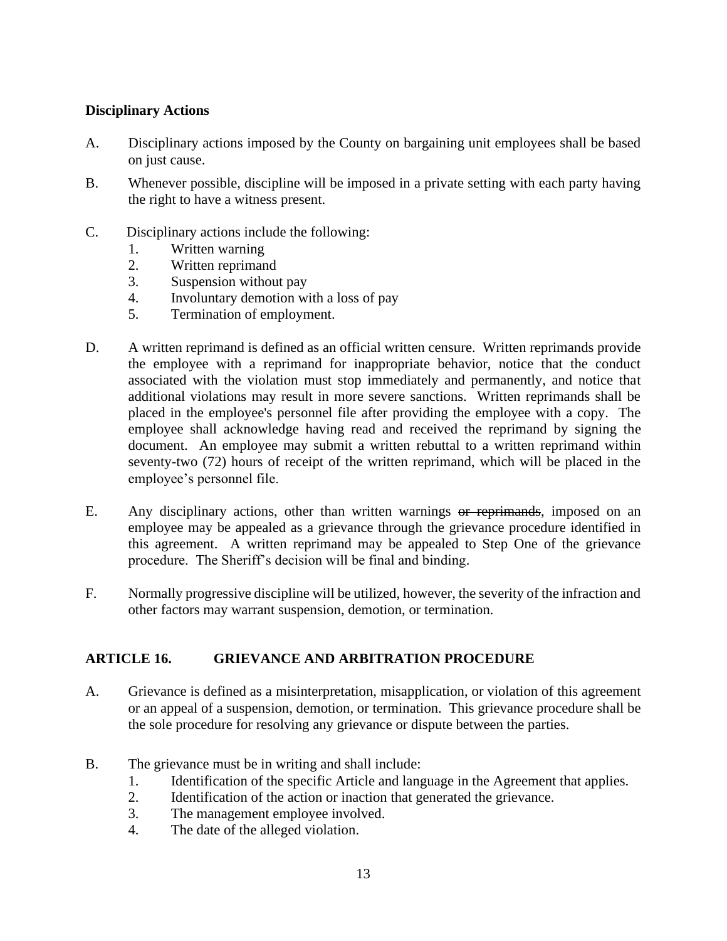#### **Disciplinary Actions**

- A. Disciplinary actions imposed by the County on bargaining unit employees shall be based on just cause.
- B. Whenever possible, discipline will be imposed in a private setting with each party having the right to have a witness present.
- C. Disciplinary actions include the following:
	- 1. Written warning
	- 2. Written reprimand
	- 3. Suspension without pay
	- 4. Involuntary demotion with a loss of pay
	- 5. Termination of employment.
- D. A written reprimand is defined as an official written censure. Written reprimands provide the employee with a reprimand for inappropriate behavior, notice that the conduct associated with the violation must stop immediately and permanently, and notice that additional violations may result in more severe sanctions. Written reprimands shall be placed in the employee's personnel file after providing the employee with a copy. The employee shall acknowledge having read and received the reprimand by signing the document. An employee may submit a written rebuttal to a written reprimand within seventy-two (72) hours of receipt of the written reprimand, which will be placed in the employee's personnel file.
- E. Any disciplinary actions, other than written warnings or reprimands, imposed on an employee may be appealed as a grievance through the grievance procedure identified in this agreement. A written reprimand may be appealed to Step One of the grievance procedure. The Sheriff's decision will be final and binding.
- F. Normally progressive discipline will be utilized, however, the severity of the infraction and other factors may warrant suspension, demotion, or termination.

#### <span id="page-14-0"></span>**ARTICLE 16. GRIEVANCE AND ARBITRATION PROCEDURE**

- A. Grievance is defined as a misinterpretation, misapplication, or violation of this agreement or an appeal of a suspension, demotion, or termination. This grievance procedure shall be the sole procedure for resolving any grievance or dispute between the parties.
- B. The grievance must be in writing and shall include:
	- 1. Identification of the specific Article and language in the Agreement that applies.
	- 2. Identification of the action or inaction that generated the grievance.
	- 3. The management employee involved.
	- 4. The date of the alleged violation.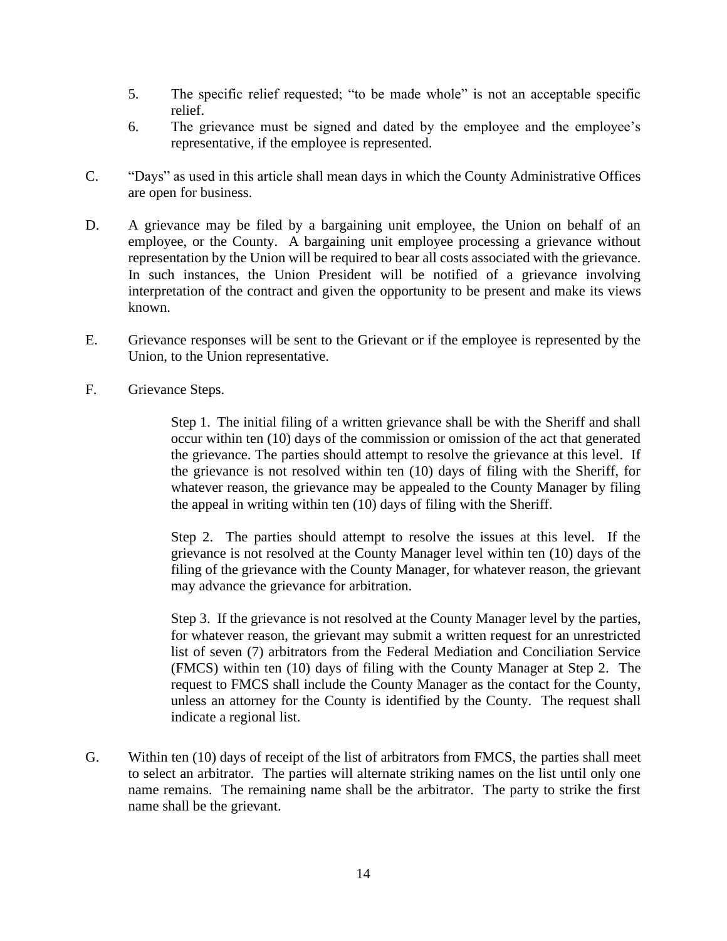- 5. The specific relief requested; "to be made whole" is not an acceptable specific relief.
- 6. The grievance must be signed and dated by the employee and the employee's representative, if the employee is represented.
- C. "Days" as used in this article shall mean days in which the County Administrative Offices are open for business.
- D. A grievance may be filed by a bargaining unit employee, the Union on behalf of an employee, or the County. A bargaining unit employee processing a grievance without representation by the Union will be required to bear all costs associated with the grievance. In such instances, the Union President will be notified of a grievance involving interpretation of the contract and given the opportunity to be present and make its views known.
- E. Grievance responses will be sent to the Grievant or if the employee is represented by the Union, to the Union representative.
- F. Grievance Steps.

Step 1. The initial filing of a written grievance shall be with the Sheriff and shall occur within ten (10) days of the commission or omission of the act that generated the grievance. The parties should attempt to resolve the grievance at this level. If the grievance is not resolved within ten (10) days of filing with the Sheriff, for whatever reason, the grievance may be appealed to the County Manager by filing the appeal in writing within ten (10) days of filing with the Sheriff.

Step 2. The parties should attempt to resolve the issues at this level. If the grievance is not resolved at the County Manager level within ten (10) days of the filing of the grievance with the County Manager, for whatever reason, the grievant may advance the grievance for arbitration.

Step 3. If the grievance is not resolved at the County Manager level by the parties, for whatever reason, the grievant may submit a written request for an unrestricted list of seven (7) arbitrators from the Federal Mediation and Conciliation Service (FMCS) within ten (10) days of filing with the County Manager at Step 2. The request to FMCS shall include the County Manager as the contact for the County, unless an attorney for the County is identified by the County. The request shall indicate a regional list.

G. Within ten (10) days of receipt of the list of arbitrators from FMCS, the parties shall meet to select an arbitrator. The parties will alternate striking names on the list until only one name remains. The remaining name shall be the arbitrator. The party to strike the first name shall be the grievant.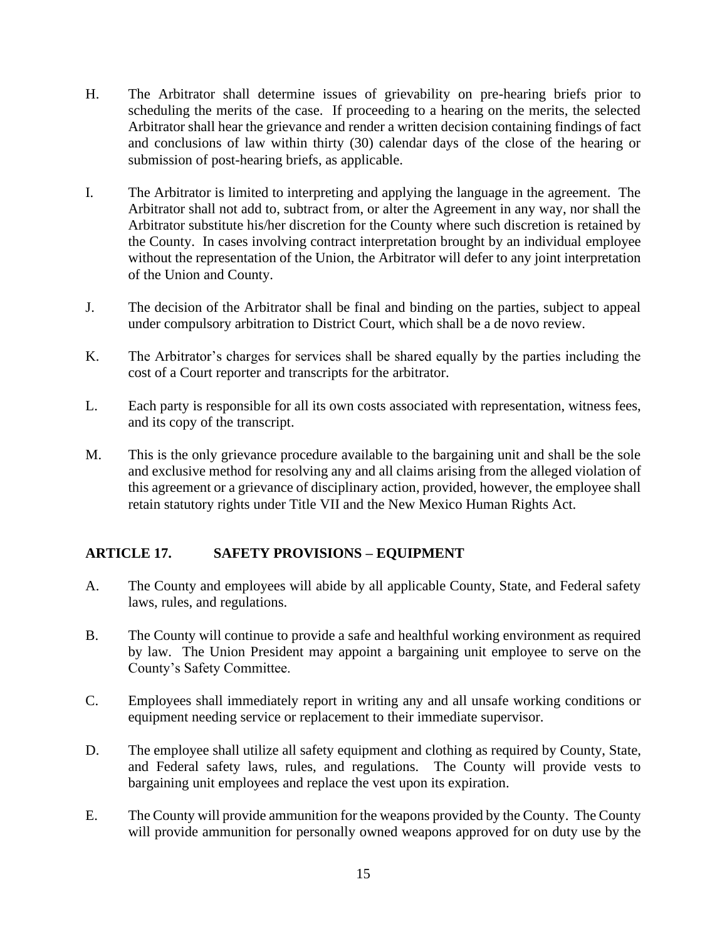- H. The Arbitrator shall determine issues of grievability on pre-hearing briefs prior to scheduling the merits of the case. If proceeding to a hearing on the merits, the selected Arbitrator shall hear the grievance and render a written decision containing findings of fact and conclusions of law within thirty (30) calendar days of the close of the hearing or submission of post-hearing briefs, as applicable.
- I. The Arbitrator is limited to interpreting and applying the language in the agreement. The Arbitrator shall not add to, subtract from, or alter the Agreement in any way, nor shall the Arbitrator substitute his/her discretion for the County where such discretion is retained by the County. In cases involving contract interpretation brought by an individual employee without the representation of the Union, the Arbitrator will defer to any joint interpretation of the Union and County.
- J. The decision of the Arbitrator shall be final and binding on the parties, subject to appeal under compulsory arbitration to District Court, which shall be a de novo review.
- K. The Arbitrator's charges for services shall be shared equally by the parties including the cost of a Court reporter and transcripts for the arbitrator.
- L. Each party is responsible for all its own costs associated with representation, witness fees, and its copy of the transcript.
- M. This is the only grievance procedure available to the bargaining unit and shall be the sole and exclusive method for resolving any and all claims arising from the alleged violation of this agreement or a grievance of disciplinary action, provided, however, the employee shall retain statutory rights under Title VII and the New Mexico Human Rights Act.

#### <span id="page-16-0"></span>**ARTICLE 17. SAFETY PROVISIONS – EQUIPMENT**

- A. The County and employees will abide by all applicable County, State, and Federal safety laws, rules, and regulations.
- B. The County will continue to provide a safe and healthful working environment as required by law. The Union President may appoint a bargaining unit employee to serve on the County's Safety Committee.
- C. Employees shall immediately report in writing any and all unsafe working conditions or equipment needing service or replacement to their immediate supervisor.
- D. The employee shall utilize all safety equipment and clothing as required by County, State, and Federal safety laws, rules, and regulations. The County will provide vests to bargaining unit employees and replace the vest upon its expiration.
- E. The County will provide ammunition for the weapons provided by the County. The County will provide ammunition for personally owned weapons approved for on duty use by the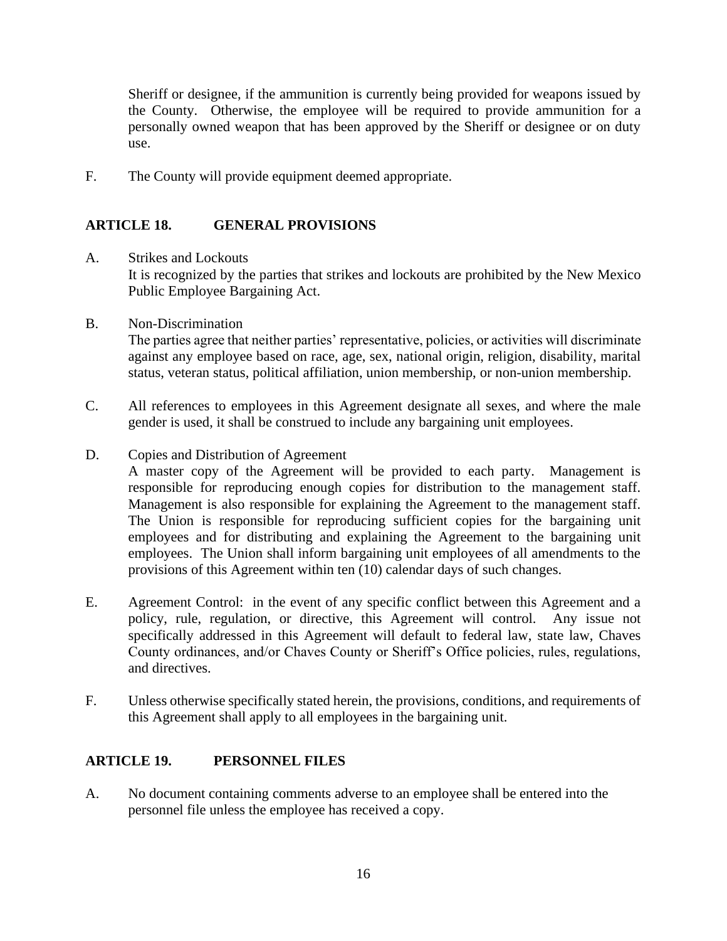Sheriff or designee, if the ammunition is currently being provided for weapons issued by the County. Otherwise, the employee will be required to provide ammunition for a personally owned weapon that has been approved by the Sheriff or designee or on duty use.

F. The County will provide equipment deemed appropriate.

#### <span id="page-17-0"></span>**ARTICLE 18. GENERAL PROVISIONS**

- A. Strikes and Lockouts It is recognized by the parties that strikes and lockouts are prohibited by the New Mexico Public Employee Bargaining Act.
- B. Non-Discrimination The parties agree that neither parties' representative, policies, or activities will discriminate against any employee based on race, age, sex, national origin, religion, disability, marital status, veteran status, political affiliation, union membership, or non-union membership.
- C. All references to employees in this Agreement designate all sexes, and where the male gender is used, it shall be construed to include any bargaining unit employees.
- D. Copies and Distribution of Agreement

A master copy of the Agreement will be provided to each party. Management is responsible for reproducing enough copies for distribution to the management staff. Management is also responsible for explaining the Agreement to the management staff. The Union is responsible for reproducing sufficient copies for the bargaining unit employees and for distributing and explaining the Agreement to the bargaining unit employees. The Union shall inform bargaining unit employees of all amendments to the provisions of this Agreement within ten (10) calendar days of such changes.

- E. Agreement Control: in the event of any specific conflict between this Agreement and a policy, rule, regulation, or directive, this Agreement will control. Any issue not specifically addressed in this Agreement will default to federal law, state law, Chaves County ordinances, and/or Chaves County or Sheriff's Office policies, rules, regulations, and directives.
- F. Unless otherwise specifically stated herein, the provisions, conditions, and requirements of this Agreement shall apply to all employees in the bargaining unit.

#### <span id="page-17-1"></span>**ARTICLE 19. PERSONNEL FILES**

A. No document containing comments adverse to an employee shall be entered into the personnel file unless the employee has received a copy.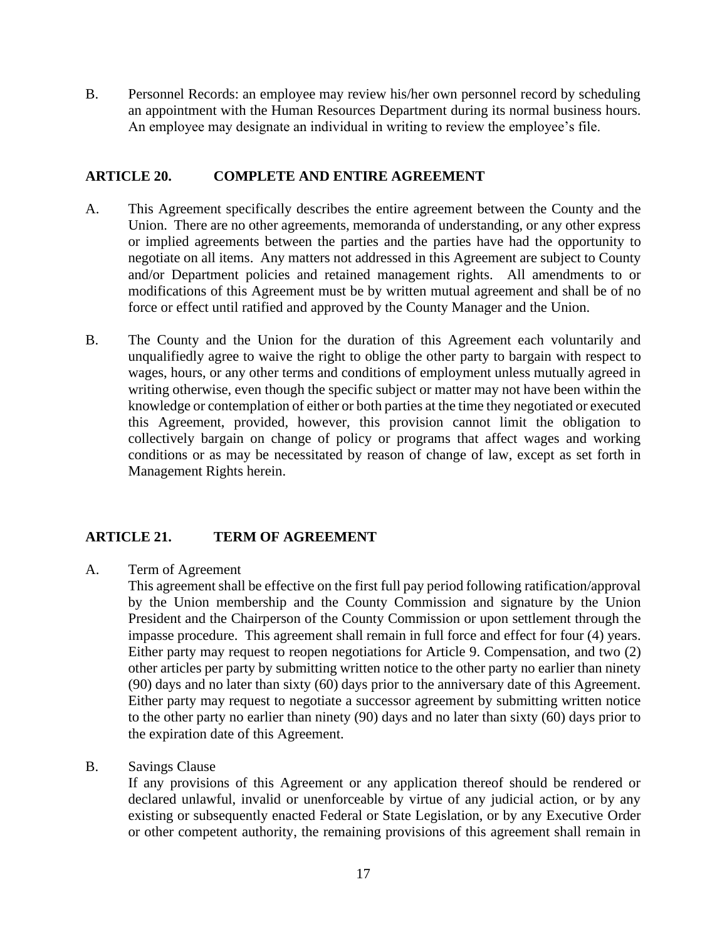B. Personnel Records: an employee may review his/her own personnel record by scheduling an appointment with the Human Resources Department during its normal business hours. An employee may designate an individual in writing to review the employee's file.

#### <span id="page-18-0"></span>**ARTICLE 20. COMPLETE AND ENTIRE AGREEMENT**

- A. This Agreement specifically describes the entire agreement between the County and the Union. There are no other agreements, memoranda of understanding, or any other express or implied agreements between the parties and the parties have had the opportunity to negotiate on all items. Any matters not addressed in this Agreement are subject to County and/or Department policies and retained management rights. All amendments to or modifications of this Agreement must be by written mutual agreement and shall be of no force or effect until ratified and approved by the County Manager and the Union.
- B. The County and the Union for the duration of this Agreement each voluntarily and unqualifiedly agree to waive the right to oblige the other party to bargain with respect to wages, hours, or any other terms and conditions of employment unless mutually agreed in writing otherwise, even though the specific subject or matter may not have been within the knowledge or contemplation of either or both parties at the time they negotiated or executed this Agreement, provided, however, this provision cannot limit the obligation to collectively bargain on change of policy or programs that affect wages and working conditions or as may be necessitated by reason of change of law, except as set forth in Management Rights herein.

#### <span id="page-18-1"></span>**ARTICLE 21. TERM OF AGREEMENT**

A. Term of Agreement

This agreement shall be effective on the first full pay period following ratification/approval by the Union membership and the County Commission and signature by the Union President and the Chairperson of the County Commission or upon settlement through the impasse procedure. This agreement shall remain in full force and effect for four (4) years. Either party may request to reopen negotiations for Article 9. Compensation, and two (2) other articles per party by submitting written notice to the other party no earlier than ninety (90) days and no later than sixty (60) days prior to the anniversary date of this Agreement. Either party may request to negotiate a successor agreement by submitting written notice to the other party no earlier than ninety (90) days and no later than sixty (60) days prior to the expiration date of this Agreement.

B. Savings Clause

If any provisions of this Agreement or any application thereof should be rendered or declared unlawful, invalid or unenforceable by virtue of any judicial action, or by any existing or subsequently enacted Federal or State Legislation, or by any Executive Order or other competent authority, the remaining provisions of this agreement shall remain in